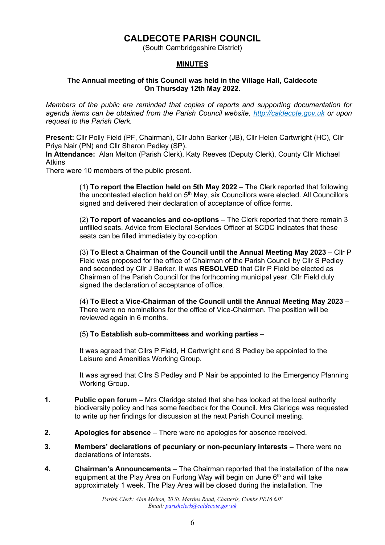# **CALDECOTE PARISH COUNCIL**

(South Cambridgeshire District)

# **MINUTES**

### **The Annual meeting of this Council was held in the Village Hall, Caldecote On Thursday 12th May 2022.**

*Members of the public are reminded that copies of reports and supporting documentation for agenda items can be obtained from the Parish Council website, [http://caldecote.gov.uk](http://caldecote.gov.uk/) or upon request to the Parish Clerk.*

**Present:** Cllr Polly Field (PF, Chairman), Cllr John Barker (JB), Cllr Helen Cartwright (HC), Cllr Priya Nair (PN) and Cllr Sharon Pedley (SP).

**In Attendance:** Alan Melton (Parish Clerk), Katy Reeves (Deputy Clerk), County Cllr Michael Atkins

There were 10 members of the public present.

(1) **To report the Election held on 5th May 2022** – The Clerk reported that following the uncontested election held on  $5<sup>th</sup>$  May, six Councillors were elected. All Councillors signed and delivered their declaration of acceptance of office forms.

(2) **To report of vacancies and co-options** – The Clerk reported that there remain 3 unfilled seats. Advice from Electoral Services Officer at SCDC indicates that these seats can be filled immediately by co-option.

(3) **To Elect a Chairman of the Council until the Annual Meeting May 2023** – Cllr P Field was proposed for the office of Chairman of the Parish Council by Cllr S Pedley and seconded by Cllr J Barker. It was **RESOLVED** that Cllr P Field be elected as Chairman of the Parish Council for the forthcoming municipal year. Cllr Field duly signed the declaration of acceptance of office.

(4) **To Elect a Vice-Chairman of the Council until the Annual Meeting May 2023** – There were no nominations for the office of Vice-Chairman. The position will be reviewed again in 6 months.

(5) **To Establish sub-committees and working parties** –

It was agreed that Cllrs P Field, H Cartwright and S Pedley be appointed to the Leisure and Amenities Working Group.

It was agreed that Cllrs S Pedley and P Nair be appointed to the Emergency Planning Working Group.

- **1. Public open forum** Mrs Claridge stated that she has looked at the local authority biodiversity policy and has some feedback for the Council. Mrs Claridge was requested to write up her findings for discussion at the next Parish Council meeting.
- **2. Apologies for absence**  There were no apologies for absence received.
- **3. Members' declarations of pecuniary or non-pecuniary interests –** There were no declarations of interests.
- **4. Chairman's Announcements** The Chairman reported that the installation of the new equipment at the Play Area on Furlong Way will begin on June  $6<sup>th</sup>$  and will take approximately 1 week. The Play Area will be closed during the installation. The

*Parish Clerk: Alan Melton, 20 St. Martins Road, Chatteris, Cambs PE16 6JF Email: [parishclerk@caldecote.gov.uk](mailto:parishclerk@caldecote.gov.uk)*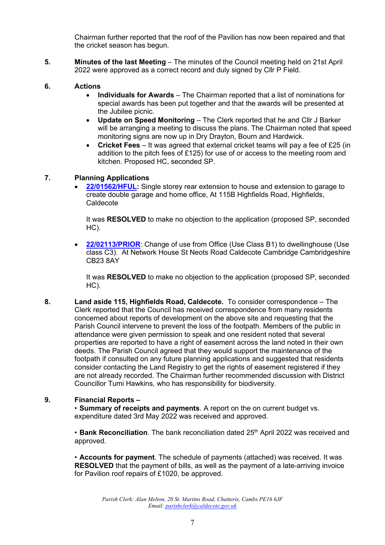Chairman further reported that the roof of the Pavilion has now been repaired and that the cricket season has begun.

**5. Minutes of the last Meeting** – The minutes of the Council meeting held on 21st April 2022 were approved as a correct record and duly signed by Cllr P Field.

#### **6. Actions**

- **Individuals for Awards**  The Chairman reported that a list of nominations for special awards has been put together and that the awards will be presented at the Jubilee picnic.
- **Update on Speed Monitoring**  The Clerk reported that he and Cllr J Barker will be arranging a meeting to discuss the plans. The Chairman noted that speed monitoring signs are now up in Dry Drayton, Bourn and Hardwick.
- **Cricket Fees**  It was agreed that external cricket teams will pay a fee of £25 (in addition to the pitch fees of £125) for use of or access to the meeting room and kitchen. Proposed HC, seconded SP.

### **7. Planning Applications**

• **[22/01562/HFUL:](https://applications.greatercambridgeplanning.org/online-applications/PLAN/22/01562/HFUL)** Single storey rear extension to house and extension to garage to create double garage and home office, At 115B Highfields Road, Highfields, Caldecote

It was **RESOLVED** to make no objection to the application (proposed SP, seconded HC).

• **[22/02113/PRIOR](https://applications.greatercambridgeplanning.org/online-applications/PLAN/22/02113/PRIOR)**: Change of use from Office (Use Class B1) to dwellinghouse (Use class C3). At Network House St Neots Road Caldecote Cambridge Cambridgeshire CB23 8AY

It was **RESOLVED** to make no objection to the application (proposed SP, seconded HC).

**8. Land aside 115, Highfields Road, Caldecote.** To consider correspondence – The Clerk reported that the Council has received correspondence from many residents concerned about reports of development on the above site and requesting that the Parish Council intervene to prevent the loss of the footpath. Members of the public in attendance were given permission to speak and one resident noted that several properties are reported to have a right of easement across the land noted in their own deeds. The Parish Council agreed that they would support the maintenance of the footpath if consulted on any future planning applications and suggested that residents consider contacting the Land Registry to get the rights of easement registered if they are not already recorded. The Chairman further recommended discussion with District Councillor Tumi Hawkins, who has responsibility for biodiversity.

### **9. Financial Reports –**

• **Summary of receipts and payments**. A report on the on current budget vs. expenditure dated 3rd May 2022 was received and approved.

• **Bank Reconciliation**. The bank reconciliation dated 25<sup>th</sup> April 2022 was received and approved.

• **Accounts for payment**. The schedule of payments (attached) was received. It was **RESOLVED** that the payment of bills, as well as the payment of a late-arriving invoice for Pavilion roof repairs of £1020, be approved.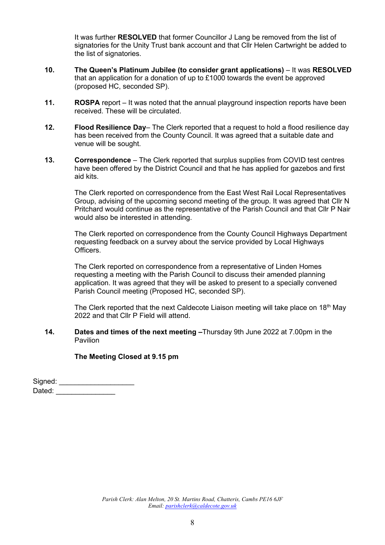It was further **RESOLVED** that former Councillor J Lang be removed from the list of signatories for the Unity Trust bank account and that Cllr Helen Cartwright be added to the list of signatories.

- **10. The Queen's Platinum Jubilee (to consider grant applications)** It was **RESOLVED** that an application for a donation of up to £1000 towards the event be approved (proposed HC, seconded SP).
- **11. ROSPA** report It was noted that the annual playground inspection reports have been received. These will be circulated.
- **12. Flood Resilience Day** The Clerk reported that a request to hold a flood resilience day has been received from the County Council. It was agreed that a suitable date and venue will be sought.
- **13. Correspondence** The Clerk reported that surplus supplies from COVID test centres have been offered by the District Council and that he has applied for gazebos and first aid kits.

The Clerk reported on correspondence from the East West Rail Local Representatives Group, advising of the upcoming second meeting of the group. It was agreed that Cllr N Pritchard would continue as the representative of the Parish Council and that Cllr P Nair would also be interested in attending.

The Clerk reported on correspondence from the County Council Highways Department requesting feedback on a survey about the service provided by Local Highways Officers.

The Clerk reported on correspondence from a representative of Linden Homes requesting a meeting with the Parish Council to discuss their amended planning application. It was agreed that they will be asked to present to a specially convened Parish Council meeting (Proposed HC, seconded SP).

The Clerk reported that the next Caldecote Liaison meeting will take place on 18<sup>th</sup> May 2022 and that Cllr P Field will attend.

#### **14. Dates and times of the next meeting –**Thursday 9th June 2022 at 7.00pm in the Pavilion

**The Meeting Closed at 9.15 pm**

| Signed: |  |
|---------|--|
| Dated:  |  |